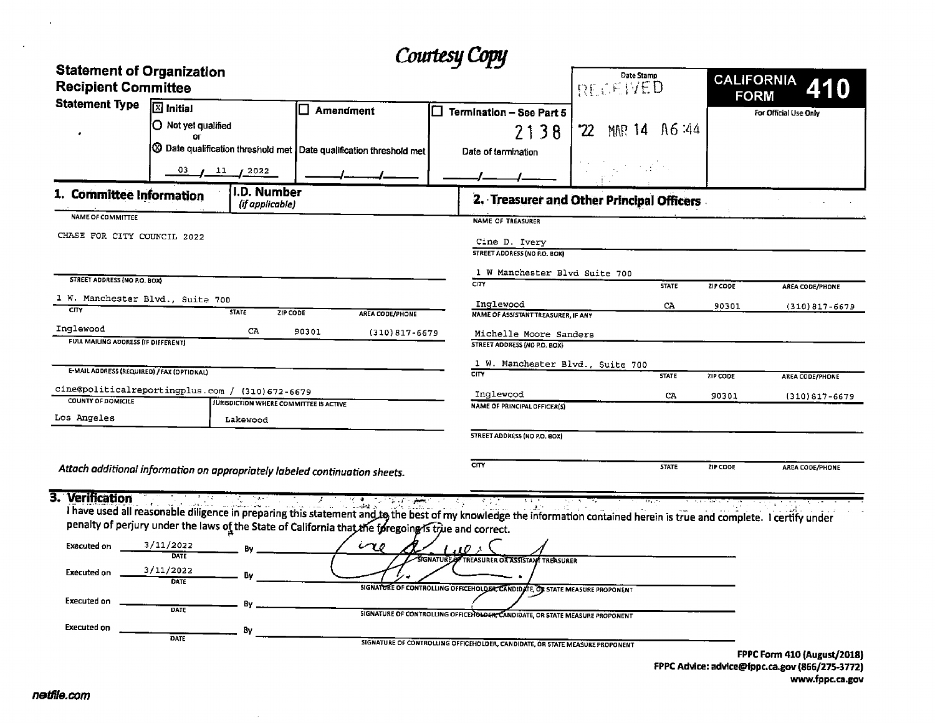|                                                                |                                                                             |                            | Courtesy Copy                        |                                           |                           |                        |
|----------------------------------------------------------------|-----------------------------------------------------------------------------|----------------------------|--------------------------------------|-------------------------------------------|---------------------------|------------------------|
| <b>Statement of Organization</b><br><b>Recipient Committee</b> |                                                                             |                            |                                      | Date Stamp<br>RECEIVED                    | CALIFORNIA<br><b>FORM</b> | 410                    |
| <b>Statement Type</b>                                          | <b>X</b> Initial                                                            | <b>Amendment</b>           | П<br><b>Termination - See Part 5</b> |                                           |                           | For Official Use Only  |
|                                                                | O Not yet qualified<br>ΩF                                                   |                            | 2138                                 | MMR 14 A6:44<br>'22                       |                           |                        |
|                                                                | 3 Date qualification threshold met Date qualification threshold met         |                            | Date of termination                  |                                           |                           |                        |
|                                                                | 03<br>$\frac{11}{2022}$                                                     |                            |                                      |                                           |                           |                        |
| 1. Committee Information                                       | I.D. Number<br>(if applicable)                                              |                            |                                      | 2. Treasurer and Other Principal Officers |                           |                        |
| <b>NAME OF COMMITTEE</b>                                       |                                                                             |                            | <b>NAME OF TREASURER</b>             |                                           |                           |                        |
| CHASE FOR CITY COUNCIL 2022                                    |                                                                             |                            | Cine D. Ivery                        |                                           |                           |                        |
|                                                                |                                                                             |                            | <b>STREET ADDRESS (NO P.O. BOX)</b>  |                                           |                           |                        |
|                                                                |                                                                             |                            | 1 W Manchester Blvd Suite 700        |                                           |                           |                        |
| STREET ADDRESS (NO P.O. BOX)                                   |                                                                             |                            | <b>CITY</b>                          | <b>STATE</b>                              | ZIP CODE                  | AREA CODE/PHONE        |
| 1 W. Manchester Blvd., Suite 700                               |                                                                             |                            | Inglewood                            | CA                                        | 90301                     | $(310)817 - 6679$      |
| CITY                                                           | <b>STATE</b><br>ZIP CODE                                                    | AREA CODE/PHONE            | NAME OF ASSISTANT TREASURER, IF ANY  |                                           |                           |                        |
| Inglewood                                                      | CA                                                                          | 90301<br>$(310)817 - 6679$ | Michelle Moore Sanders               |                                           |                           |                        |
| FULL MAILING ADDRESS (IF DIFFERENT)                            |                                                                             |                            | STREET ADDRESS (NO P.O. BOX)         |                                           |                           |                        |
| E-MAIL ADDRESS (REQUIRED) / FAX (OPTIONAL)                     |                                                                             |                            | 1 W. Manchester Blvd., Suite 700     |                                           |                           |                        |
|                                                                |                                                                             |                            | $\overline{\text{CIV}}$              | <b>STATE</b>                              | ZIP CODE                  | <b>AREA CODE/PHONE</b> |
| <b>COUNTY OF DOMICILE</b>                                      | cine@politicalreportingplus.com / (310)672-6679                             |                            | Inglewood                            | CA                                        | 90301                     | $(310)817 - 6679$      |
| Los Angeles                                                    | <b>JURISDICTION WHERE COMMITTEE IS ACTIVE</b>                               |                            | <b>NAME OF PRINCIPAL OFFICER(S)</b>  |                                           |                           |                        |
|                                                                | Lakewood                                                                    |                            |                                      |                                           |                           |                        |
|                                                                |                                                                             |                            | <b>STREET ADDRESS (NO P.O. BOX)</b>  |                                           |                           |                        |
|                                                                | Attach additional information on appropriately labeled continuation sheets. |                            | CITY                                 | <b>STATE</b>                              | ZIP CODE                  | AREA CODE/PHONE        |
| a viene provincia de la concelho                               |                                                                             |                            |                                      |                                           |                           |                        |

## 3. Verification

I have used all reasonable diligence in preparing this statement and to the best of my knowledge the information contained herein is true and complete. I certify under<br>Depalty of notive under the laws of the Castle of a li penalty of perjury under the laws of the State of California that the foregoing is true and correct

|                    |                   | . . |                                                                              |                             |
|--------------------|-------------------|-----|------------------------------------------------------------------------------|-----------------------------|
| Executed on        | 3/11/2022         | Bv  | $\omega v$<br>$\overline{u}$                                                 |                             |
|                    | DATE              |     | SIGNATURE OF TREASURER OR ASSISTANT TREASURER                                |                             |
| <b>Executed on</b> | 3/11/2022<br>DATE | Bv  |                                                                              |                             |
|                    |                   |     | SIGNATURE OF CONTROLLING OFFICEHOLDER, CANDIDATE, OF STATE MEASURE PROPONENT |                             |
| <b>Executed on</b> | DATE              | Rv  |                                                                              |                             |
|                    |                   |     | SIGNATURE OF CONTROLLING OFFICENDLOCK, CANDIDATE, OR STATE MEASURE PROPONENT |                             |
| <b>Executed on</b> |                   |     |                                                                              |                             |
|                    | DATE              |     | SIGNATURE OF CONTROLLING OFFICEHOLDER, CANDIDATE, OR STATE MEASURE PROPONENT |                             |
|                    |                   |     |                                                                              | EDDC Form 410 (August /2019 |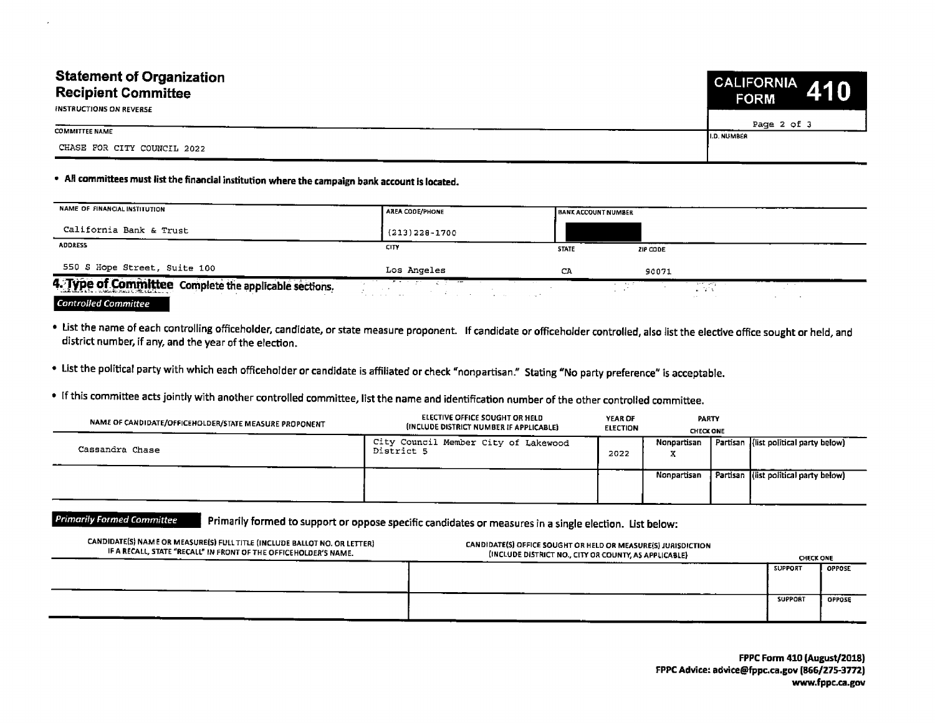## Statement of Organization CALIFORNIA Recipient Committee FORM INSTRUCTIONS ON REVERSE

COMMITTEE NAME

CHASE FOR CITY COUNCIL 2022

## All committees must list the financial institution where the campaign bank account is located.

| NAME OF FINANCIAL INSTITUTION                          | <b>AREA CODE/PHONE</b>                                               | <b>BANK ACCOUNT NUMBER</b> |                                                                                         |                 |
|--------------------------------------------------------|----------------------------------------------------------------------|----------------------------|-----------------------------------------------------------------------------------------|-----------------|
| California Bank & Trust                                | $(213)$ 228-1700                                                     |                            |                                                                                         |                 |
| <b>ADDRESS</b>                                         | CITY                                                                 | <b>STATE</b>               | ZIP CODE                                                                                |                 |
| 550 S Hope Street, Suite 100                           | Los Angeles                                                          | CA.                        | 90071                                                                                   |                 |
| 4. Type of Committee Complete the applicable sections. | <u>ਹਿੰਦਰ ਦੇ ਸਿੰਘ ਦਾ ਸ਼ਹਿਰ ਵਿੱਚ ਸਾ</u><br>and the state<br>アカラス しょうよう |                            | the company of the company of the company<br>The Contemporary Con-<br><b>ALCOHOL: N</b> | <b>Contract</b> |
| <b>Controlled Committee</b>                            |                                                                      |                            | $\sim$ $\sim$                                                                           |                 |

List the name of each controlling officeholder, candidate, or state measure proponent. If candidate or officeholder controlled, also list the elective office sought or held, and district number, if any, and the year of the election.

List the political party with which each officeholder or candidate is affiliated or check" nonpartisan." Stating" No party preference" is acceptable.

If this committee acts jointly with another controlled committee, list the name and identification number of the other controlled committee.

| NAME OF CANDIDATE/OFFICEHOLDER/STATE MEASURE PROPONENT | ELECTIVE OFFICE SOUGHT OR HELD<br>(INCLUDE DISTRICT NUMBER IF APPLICABLE) | YEAR OF<br><b>ELECTION</b> | <b>PARTY</b><br><b>CHECK ONE</b> |                                        |
|--------------------------------------------------------|---------------------------------------------------------------------------|----------------------------|----------------------------------|----------------------------------------|
| Cassandra Chase                                        | City Council Member City of Lakewood<br>District 5                        | 2022                       | Nonpartisan                      | Partisan (list political party below)  |
|                                                        |                                                                           |                            | Nonpartisan                      | Partisan ((list political party below) |

Primarily Formed Committee Primarily formed to support or oppose specific candidates or measures in a single election. List below:

| CANDIDATE(S) NAME OR MEASURE(S) FULL TITLE (INCLUDE BALLOT NO. OR LETTER)<br>IF A RECALL, STATE "RECALL" IN FRONT OF THE OFFICEHOLDER'S NAME. | CANDIDATE(S) OFFICE SOUGHT OR HELD OR MEASURE(S) JURISDICTION<br>(INCLUDE DISTRICT NO., CITY OR COUNTY, AS APPLICABLE) |                | <b>CHECK ONE</b> |  |
|-----------------------------------------------------------------------------------------------------------------------------------------------|------------------------------------------------------------------------------------------------------------------------|----------------|------------------|--|
|                                                                                                                                               |                                                                                                                        | <b>SUPPORT</b> | <b>OPPOSE</b>    |  |
|                                                                                                                                               |                                                                                                                        | <b>SUPPORT</b> | <b>OPPOSE</b>    |  |

FPPC Form 410 (August/2018) FPPC Advice: advice@fppc.ca.gov (866/275-3772) www.fppc.ca. gov